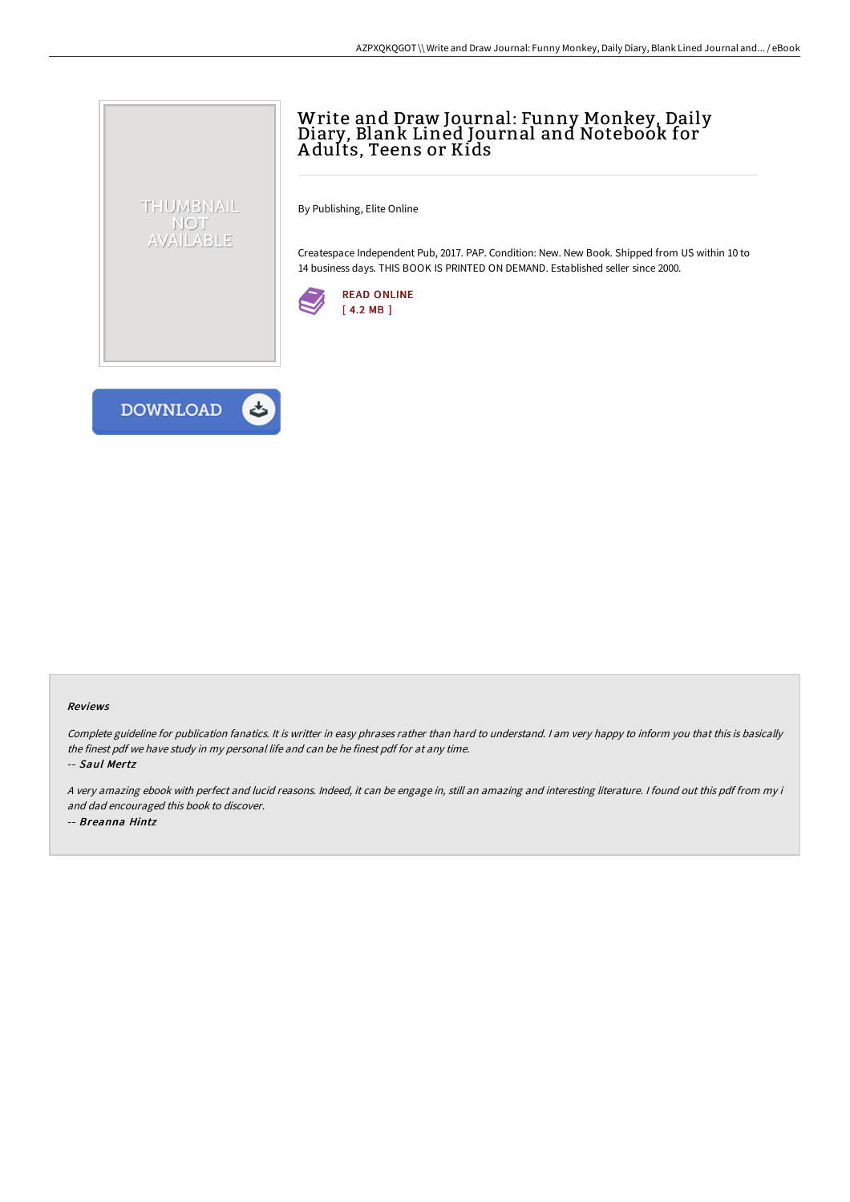## Write and Draw Journal: Funny Monkey, Daily Diary, Blank Lined Journal and Notebook for A dults, Teens or Kids

By Publishing, Elite Online

Createspace Independent Pub, 2017. PAP. Condition: New. New Book. Shipped from US within 10 to 14 business days. THIS BOOK IS PRINTED ON DEMAND. Established seller since 2000.





THUMBNAIL NOT AVAILABLE

## Reviews

Complete guideline for publication fanatics. It is writter in easy phrases rather than hard to understand. <sup>I</sup> am very happy to inform you that this is basically the finest pdf we have study in my personal life and can be he finest pdf for at any time.

-- Saul Mertz

<sup>A</sup> very amazing ebook with perfect and lucid reasons. Indeed, it can be engage in, still an amazing and interesting literature. <sup>I</sup> found out this pdf from my i and dad encouraged this book to discover. -- Breanna Hintz